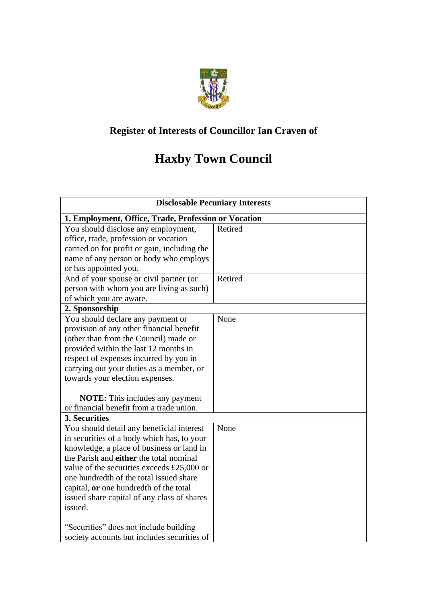

## **Register of Interests of Councillor Ian Craven of**

## **Haxby Town Council**

| <b>Disclosable Pecuniary Interests</b>                 |         |  |  |
|--------------------------------------------------------|---------|--|--|
| 1. Employment, Office, Trade, Profession or Vocation   |         |  |  |
| You should disclose any employment,                    | Retired |  |  |
| office, trade, profession or vocation                  |         |  |  |
| carried on for profit or gain, including the           |         |  |  |
| name of any person or body who employs                 |         |  |  |
| or has appointed you.                                  |         |  |  |
| And of your spouse or civil partner (or                | Retired |  |  |
| person with whom you are living as such)               |         |  |  |
| of which you are aware.                                |         |  |  |
| 2. Sponsorship                                         |         |  |  |
| You should declare any payment or                      | None    |  |  |
| provision of any other financial benefit               |         |  |  |
| (other than from the Council) made or                  |         |  |  |
| provided within the last 12 months in                  |         |  |  |
| respect of expenses incurred by you in                 |         |  |  |
| carrying out your duties as a member, or               |         |  |  |
| towards your election expenses.                        |         |  |  |
|                                                        |         |  |  |
| <b>NOTE:</b> This includes any payment                 |         |  |  |
| or financial benefit from a trade union.               |         |  |  |
| 3. Securities                                          |         |  |  |
| You should detail any beneficial interest              | None    |  |  |
| in securities of a body which has, to your             |         |  |  |
| knowledge, a place of business or land in              |         |  |  |
| the Parish and either the total nominal                |         |  |  |
| value of the securities exceeds £25,000 or             |         |  |  |
| one hundredth of the total issued share                |         |  |  |
| capital, or one hundredth of the total                 |         |  |  |
| issued share capital of any class of shares<br>issued. |         |  |  |
|                                                        |         |  |  |
| "Securities" does not include building                 |         |  |  |
| society accounts but includes securities of            |         |  |  |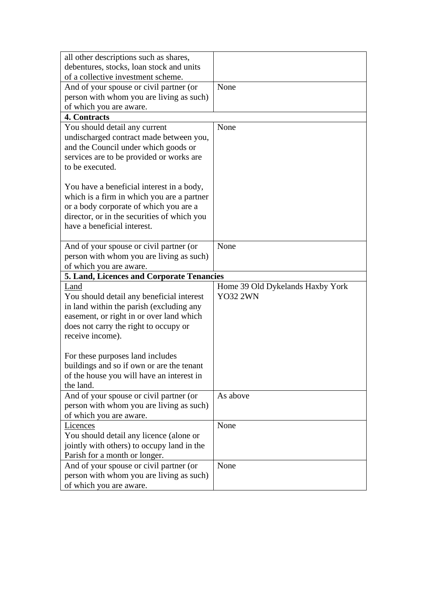| all other descriptions such as shares,                    |                                                     |  |  |  |
|-----------------------------------------------------------|-----------------------------------------------------|--|--|--|
| debentures, stocks, loan stock and units                  |                                                     |  |  |  |
| of a collective investment scheme.                        |                                                     |  |  |  |
| And of your spouse or civil partner (or                   | None                                                |  |  |  |
| person with whom you are living as such)                  |                                                     |  |  |  |
| of which you are aware.                                   |                                                     |  |  |  |
| 4. Contracts                                              |                                                     |  |  |  |
| You should detail any current                             | None                                                |  |  |  |
| undischarged contract made between you,                   |                                                     |  |  |  |
| and the Council under which goods or                      |                                                     |  |  |  |
| services are to be provided or works are                  |                                                     |  |  |  |
| to be executed.                                           |                                                     |  |  |  |
|                                                           |                                                     |  |  |  |
| You have a beneficial interest in a body,                 |                                                     |  |  |  |
| which is a firm in which you are a partner                |                                                     |  |  |  |
| or a body corporate of which you are a                    |                                                     |  |  |  |
| director, or in the securities of which you               |                                                     |  |  |  |
| have a beneficial interest.                               |                                                     |  |  |  |
|                                                           |                                                     |  |  |  |
| And of your spouse or civil partner (or                   | None                                                |  |  |  |
| person with whom you are living as such)                  |                                                     |  |  |  |
| of which you are aware.                                   |                                                     |  |  |  |
|                                                           |                                                     |  |  |  |
|                                                           |                                                     |  |  |  |
| 5. Land, Licences and Corporate Tenancies<br>Land         |                                                     |  |  |  |
|                                                           | Home 39 Old Dykelands Haxby York<br><b>YO32 2WN</b> |  |  |  |
| You should detail any beneficial interest                 |                                                     |  |  |  |
| in land within the parish (excluding any                  |                                                     |  |  |  |
| easement, or right in or over land which                  |                                                     |  |  |  |
| does not carry the right to occupy or<br>receive income). |                                                     |  |  |  |
|                                                           |                                                     |  |  |  |
|                                                           |                                                     |  |  |  |
| For these purposes land includes                          |                                                     |  |  |  |
| buildings and so if own or are the tenant                 |                                                     |  |  |  |
| of the house you will have an interest in<br>the land.    |                                                     |  |  |  |
| And of your spouse or civil partner (or                   | As above                                            |  |  |  |
| person with whom you are living as such)                  |                                                     |  |  |  |
| of which you are aware.                                   |                                                     |  |  |  |
| Licences                                                  | None                                                |  |  |  |
| You should detail any licence (alone or                   |                                                     |  |  |  |
| jointly with others) to occupy land in the                |                                                     |  |  |  |
| Parish for a month or longer.                             |                                                     |  |  |  |
| And of your spouse or civil partner (or                   | None                                                |  |  |  |
| person with whom you are living as such)                  |                                                     |  |  |  |